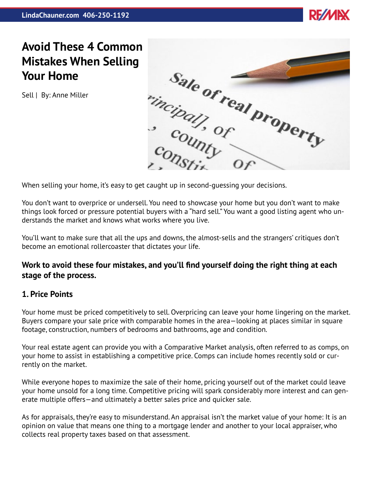

# **Avoid These 4 Common Your Home**

Sell | By: Anne Miller



When selling your home, it's easy to get caught up in second-guessing your decisions.

You don't want to overprice or undersell. You need to showcase your home but you don't want to make things look forced or pressure potential buyers with a "hard sell." You want a good listing agent who understands the market and knows what works where you live.

You'll want to make sure that all the ups and downs, the almost-sells and the strangers' critiques don't become an emotional rollercoaster that dictates your life.

## **Work to avoid these four mistakes, and you'll find yourself doing the right thing at each stage of the process.**

### **1. Price Points**

Your home must be priced competitively to sell. Overpricing can leave your home lingering on the market. Buyers compare your sale price with comparable homes in the area—looking at places similar in square footage, construction, numbers of bedrooms and bathrooms, age and condition.

Your real estate agent can provide you with a Comparative Market analysis, often referred to as comps, on your home to assist in establishing a competitive price. Comps can include homes recently sold or currently on the market.

While everyone hopes to maximize the sale of their home, pricing yourself out of the market could leave your home unsold for a long time. Competitive pricing will spark considerably more interest and can generate multiple offers—and ultimately a better sales price and quicker sale.

As for appraisals, they're easy to misunderstand. An appraisal isn't the market value of your home: It is an opinion on value that means one thing to a mortgage lender and another to your local appraiser, who collects real property taxes based on that assessment.